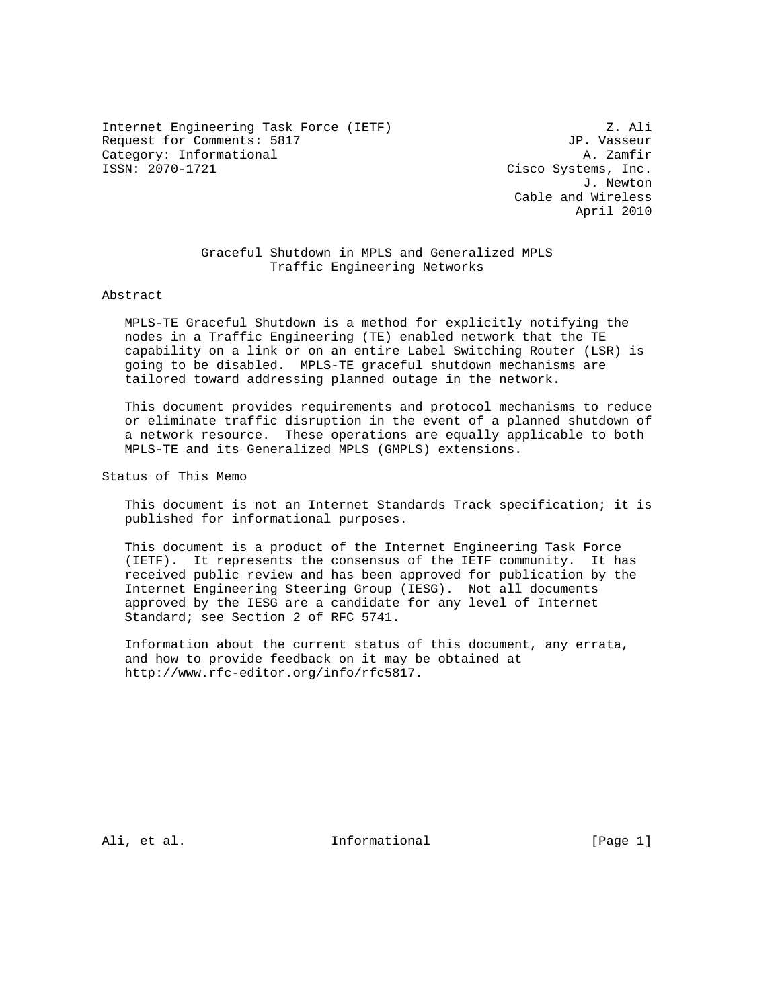Internet Engineering Task Force (IETF)  $\qquad \qquad$  Z. Ali Request for Comments: 5817 JP. Vasseur Category: Informational and the category: Informational and the category: Informational and the case of  $\alpha$ . Zamfir

Cisco Systems, Inc. J. Newton Cable and Wireless April 2010

 Graceful Shutdown in MPLS and Generalized MPLS Traffic Engineering Networks

#### Abstract

 MPLS-TE Graceful Shutdown is a method for explicitly notifying the nodes in a Traffic Engineering (TE) enabled network that the TE capability on a link or on an entire Label Switching Router (LSR) is going to be disabled. MPLS-TE graceful shutdown mechanisms are tailored toward addressing planned outage in the network.

 This document provides requirements and protocol mechanisms to reduce or eliminate traffic disruption in the event of a planned shutdown of a network resource. These operations are equally applicable to both MPLS-TE and its Generalized MPLS (GMPLS) extensions.

Status of This Memo

 This document is not an Internet Standards Track specification; it is published for informational purposes.

 This document is a product of the Internet Engineering Task Force (IETF). It represents the consensus of the IETF community. It has received public review and has been approved for publication by the Internet Engineering Steering Group (IESG). Not all documents approved by the IESG are a candidate for any level of Internet Standard; see Section 2 of RFC 5741.

 Information about the current status of this document, any errata, and how to provide feedback on it may be obtained at http://www.rfc-editor.org/info/rfc5817.

Ali, et al. Informational [Page 1]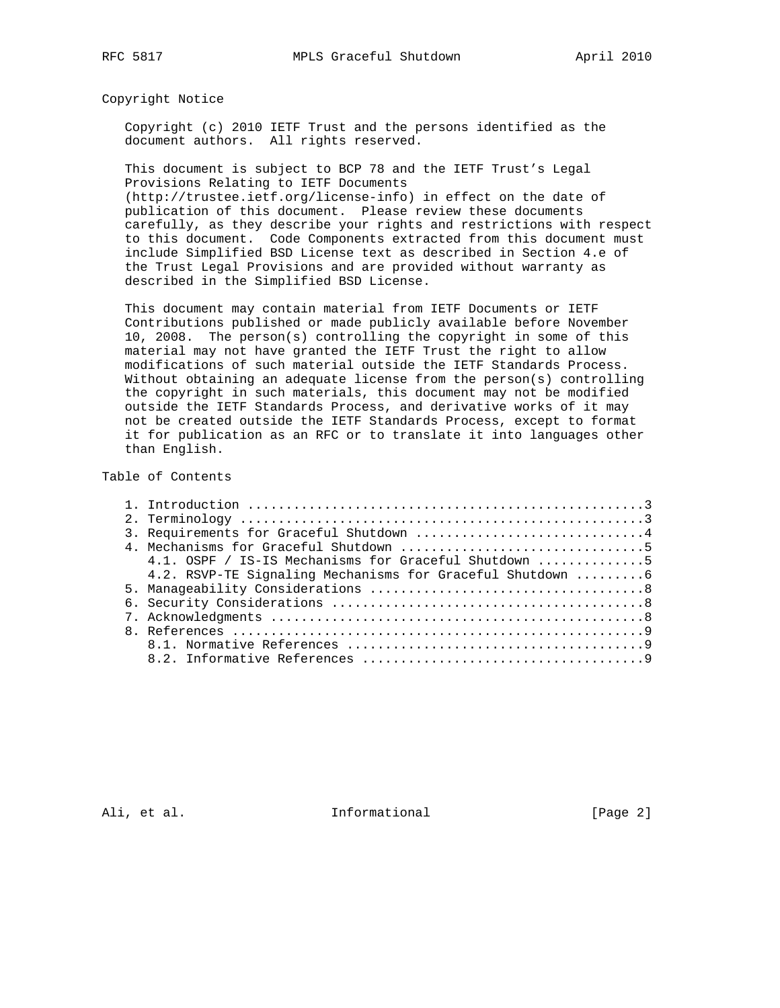Copyright Notice

 Copyright (c) 2010 IETF Trust and the persons identified as the document authors. All rights reserved.

 This document is subject to BCP 78 and the IETF Trust's Legal Provisions Relating to IETF Documents

 (http://trustee.ietf.org/license-info) in effect on the date of publication of this document. Please review these documents carefully, as they describe your rights and restrictions with respect to this document. Code Components extracted from this document must include Simplified BSD License text as described in Section 4.e of the Trust Legal Provisions and are provided without warranty as described in the Simplified BSD License.

 This document may contain material from IETF Documents or IETF Contributions published or made publicly available before November 10, 2008. The person(s) controlling the copyright in some of this material may not have granted the IETF Trust the right to allow modifications of such material outside the IETF Standards Process. Without obtaining an adequate license from the person(s) controlling the copyright in such materials, this document may not be modified outside the IETF Standards Process, and derivative works of it may not be created outside the IETF Standards Process, except to format it for publication as an RFC or to translate it into languages other than English.

## Table of Contents

| 3. Requirements for Graceful Shutdown 4                   |
|-----------------------------------------------------------|
|                                                           |
| 4.1. OSPF / IS-IS Mechanisms for Graceful Shutdown 5      |
| 4.2. RSVP-TE Signaling Mechanisms for Graceful Shutdown 6 |
|                                                           |
|                                                           |
|                                                           |
|                                                           |
|                                                           |
|                                                           |

Ali, et al. 10 methormational [Page 2]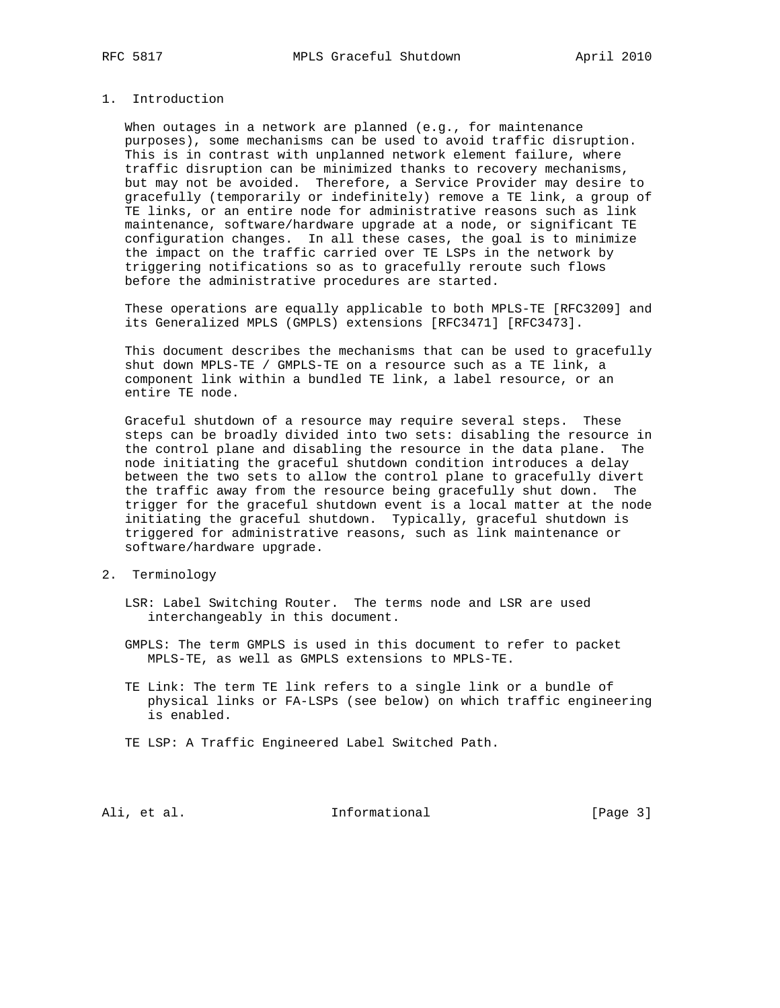# 1. Introduction

 When outages in a network are planned (e.g., for maintenance purposes), some mechanisms can be used to avoid traffic disruption. This is in contrast with unplanned network element failure, where traffic disruption can be minimized thanks to recovery mechanisms, but may not be avoided. Therefore, a Service Provider may desire to gracefully (temporarily or indefinitely) remove a TE link, a group of TE links, or an entire node for administrative reasons such as link maintenance, software/hardware upgrade at a node, or significant TE configuration changes. In all these cases, the goal is to minimize the impact on the traffic carried over TE LSPs in the network by triggering notifications so as to gracefully reroute such flows before the administrative procedures are started.

 These operations are equally applicable to both MPLS-TE [RFC3209] and its Generalized MPLS (GMPLS) extensions [RFC3471] [RFC3473].

 This document describes the mechanisms that can be used to gracefully shut down MPLS-TE / GMPLS-TE on a resource such as a TE link, a component link within a bundled TE link, a label resource, or an entire TE node.

 Graceful shutdown of a resource may require several steps. These steps can be broadly divided into two sets: disabling the resource in the control plane and disabling the resource in the data plane. The node initiating the graceful shutdown condition introduces a delay between the two sets to allow the control plane to gracefully divert the traffic away from the resource being gracefully shut down. The trigger for the graceful shutdown event is a local matter at the node initiating the graceful shutdown. Typically, graceful shutdown is triggered for administrative reasons, such as link maintenance or software/hardware upgrade.

- 2. Terminology
	- LSR: Label Switching Router. The terms node and LSR are used interchangeably in this document.
	- GMPLS: The term GMPLS is used in this document to refer to packet MPLS-TE, as well as GMPLS extensions to MPLS-TE.
	- TE Link: The term TE link refers to a single link or a bundle of physical links or FA-LSPs (see below) on which traffic engineering is enabled.
	- TE LSP: A Traffic Engineered Label Switched Path.

Ali, et al. 10 methormational [Page 3]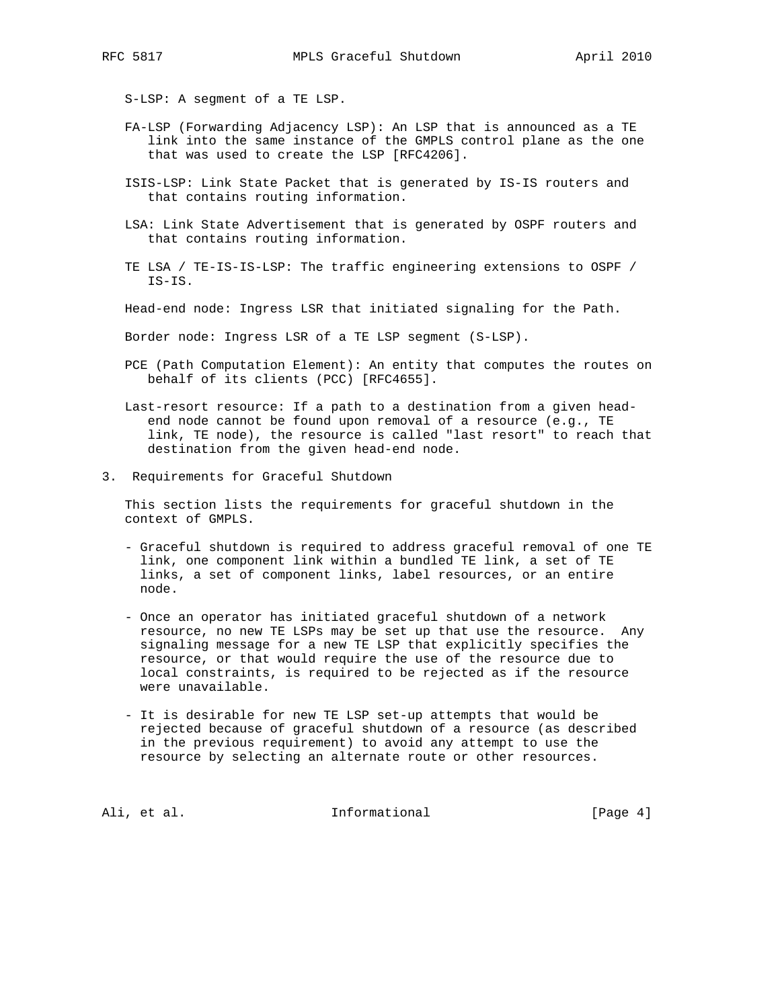- S-LSP: A segment of a TE LSP.
- FA-LSP (Forwarding Adjacency LSP): An LSP that is announced as a TE link into the same instance of the GMPLS control plane as the one that was used to create the LSP [RFC4206].
- ISIS-LSP: Link State Packet that is generated by IS-IS routers and that contains routing information.
- LSA: Link State Advertisement that is generated by OSPF routers and that contains routing information.
- TE LSA / TE-IS-IS-LSP: The traffic engineering extensions to OSPF / IS-IS.
- Head-end node: Ingress LSR that initiated signaling for the Path.
- Border node: Ingress LSR of a TE LSP segment (S-LSP).
- PCE (Path Computation Element): An entity that computes the routes on behalf of its clients (PCC) [RFC4655].
- Last-resort resource: If a path to a destination from a given head end node cannot be found upon removal of a resource (e.g., TE link, TE node), the resource is called "last resort" to reach that destination from the given head-end node.
- 3. Requirements for Graceful Shutdown

 This section lists the requirements for graceful shutdown in the context of GMPLS.

- Graceful shutdown is required to address graceful removal of one TE link, one component link within a bundled TE link, a set of TE links, a set of component links, label resources, or an entire node.
- Once an operator has initiated graceful shutdown of a network resource, no new TE LSPs may be set up that use the resource. Any signaling message for a new TE LSP that explicitly specifies the resource, or that would require the use of the resource due to local constraints, is required to be rejected as if the resource were unavailable.
- It is desirable for new TE LSP set-up attempts that would be rejected because of graceful shutdown of a resource (as described in the previous requirement) to avoid any attempt to use the resource by selecting an alternate route or other resources.

Ali, et al. 10 methormational [Page 4]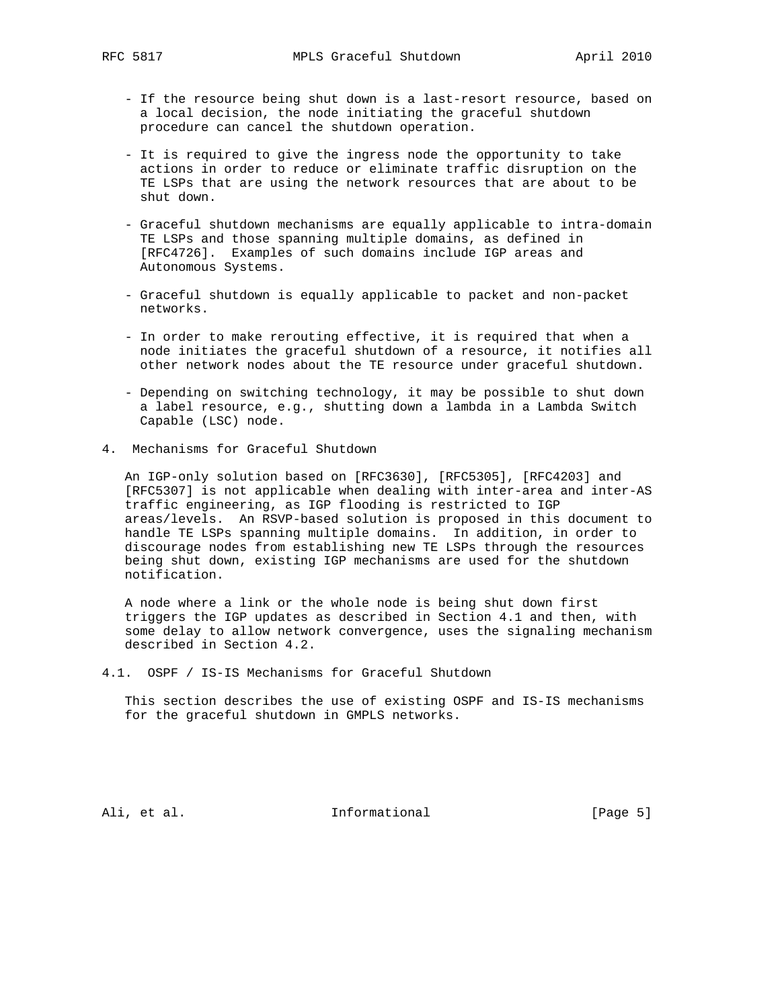- If the resource being shut down is a last-resort resource, based on a local decision, the node initiating the graceful shutdown procedure can cancel the shutdown operation.
- It is required to give the ingress node the opportunity to take actions in order to reduce or eliminate traffic disruption on the TE LSPs that are using the network resources that are about to be shut down.
- Graceful shutdown mechanisms are equally applicable to intra-domain TE LSPs and those spanning multiple domains, as defined in [RFC4726]. Examples of such domains include IGP areas and Autonomous Systems.
- Graceful shutdown is equally applicable to packet and non-packet networks.
- In order to make rerouting effective, it is required that when a node initiates the graceful shutdown of a resource, it notifies all other network nodes about the TE resource under graceful shutdown.
- Depending on switching technology, it may be possible to shut down a label resource, e.g., shutting down a lambda in a Lambda Switch Capable (LSC) node.
- 4. Mechanisms for Graceful Shutdown

 An IGP-only solution based on [RFC3630], [RFC5305], [RFC4203] and [RFC5307] is not applicable when dealing with inter-area and inter-AS traffic engineering, as IGP flooding is restricted to IGP areas/levels. An RSVP-based solution is proposed in this document to handle TE LSPs spanning multiple domains. In addition, in order to discourage nodes from establishing new TE LSPs through the resources being shut down, existing IGP mechanisms are used for the shutdown notification.

 A node where a link or the whole node is being shut down first triggers the IGP updates as described in Section 4.1 and then, with some delay to allow network convergence, uses the signaling mechanism described in Section 4.2.

4.1. OSPF / IS-IS Mechanisms for Graceful Shutdown

 This section describes the use of existing OSPF and IS-IS mechanisms for the graceful shutdown in GMPLS networks.

Ali, et al. 10 methormational 11 metal [Page 5]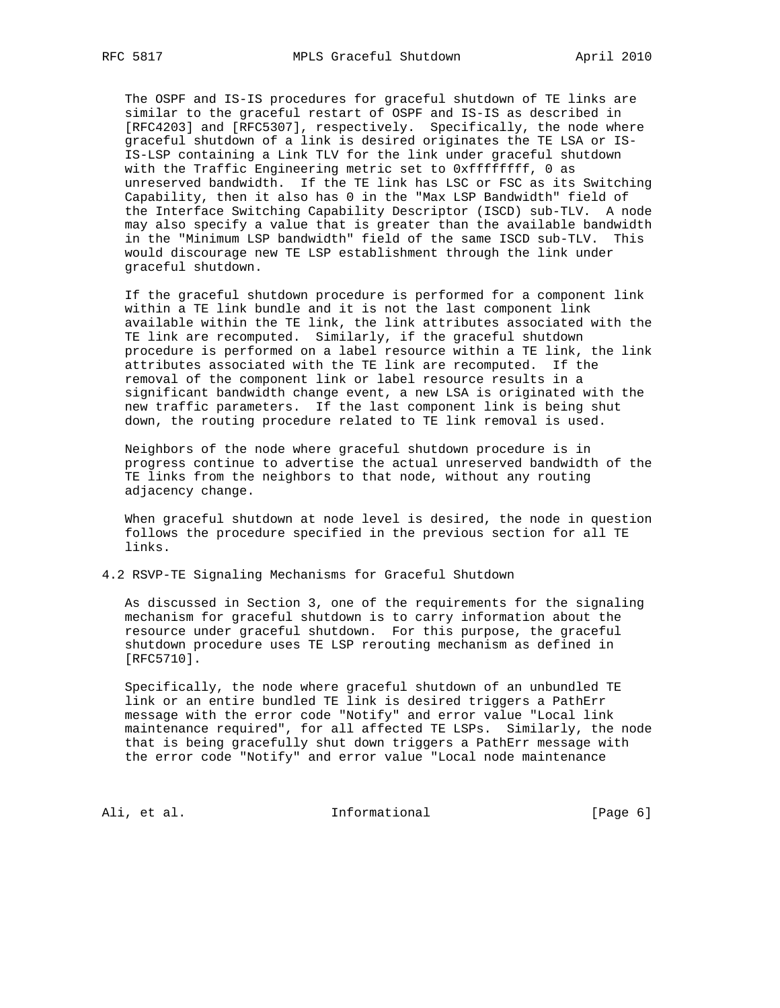The OSPF and IS-IS procedures for graceful shutdown of TE links are similar to the graceful restart of OSPF and IS-IS as described in [RFC4203] and [RFC5307], respectively. Specifically, the node where graceful shutdown of a link is desired originates the TE LSA or IS- IS-LSP containing a Link TLV for the link under graceful shutdown with the Traffic Engineering metric set to 0xffffffff, 0 as unreserved bandwidth. If the TE link has LSC or FSC as its Switching Capability, then it also has 0 in the "Max LSP Bandwidth" field of the Interface Switching Capability Descriptor (ISCD) sub-TLV. A node may also specify a value that is greater than the available bandwidth in the "Minimum LSP bandwidth" field of the same ISCD sub-TLV. This would discourage new TE LSP establishment through the link under graceful shutdown.

 If the graceful shutdown procedure is performed for a component link within a TE link bundle and it is not the last component link available within the TE link, the link attributes associated with the TE link are recomputed. Similarly, if the graceful shutdown procedure is performed on a label resource within a TE link, the link attributes associated with the TE link are recomputed. If the removal of the component link or label resource results in a significant bandwidth change event, a new LSA is originated with the new traffic parameters. If the last component link is being shut down, the routing procedure related to TE link removal is used.

 Neighbors of the node where graceful shutdown procedure is in progress continue to advertise the actual unreserved bandwidth of the TE links from the neighbors to that node, without any routing adjacency change.

 When graceful shutdown at node level is desired, the node in question follows the procedure specified in the previous section for all TE links.

4.2 RSVP-TE Signaling Mechanisms for Graceful Shutdown

 As discussed in Section 3, one of the requirements for the signaling mechanism for graceful shutdown is to carry information about the resource under graceful shutdown. For this purpose, the graceful shutdown procedure uses TE LSP rerouting mechanism as defined in [RFC5710].

 Specifically, the node where graceful shutdown of an unbundled TE link or an entire bundled TE link is desired triggers a PathErr message with the error code "Notify" and error value "Local link maintenance required", for all affected TE LSPs. Similarly, the node that is being gracefully shut down triggers a PathErr message with the error code "Notify" and error value "Local node maintenance

Ali, et al. 10 methormational [Page 6]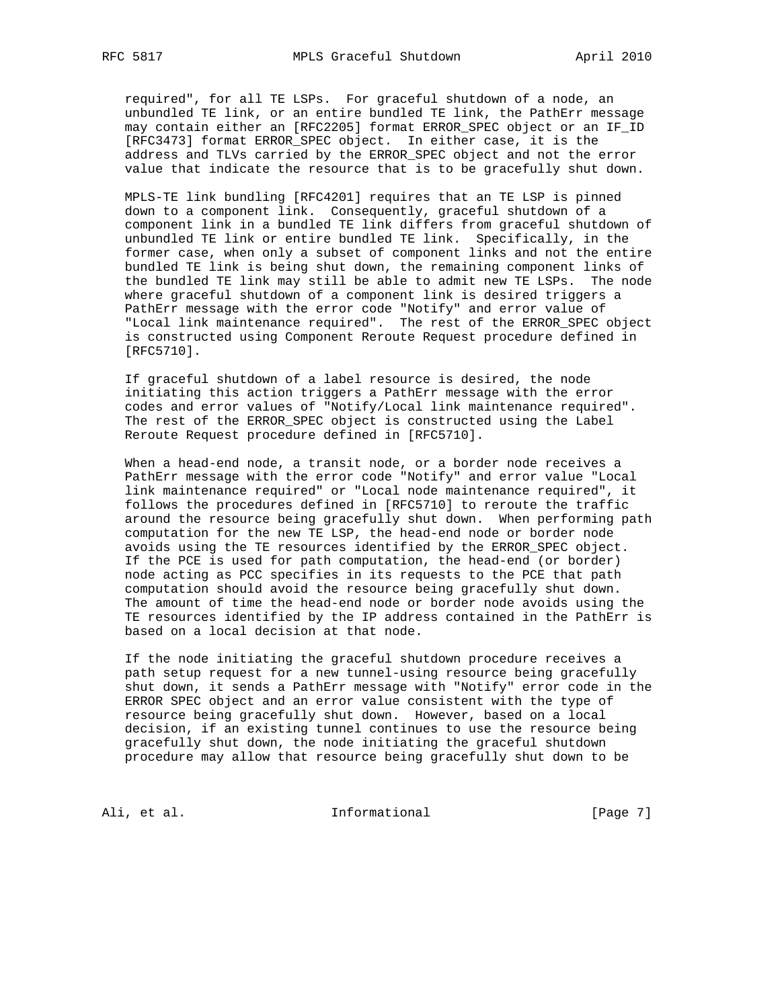required", for all TE LSPs. For graceful shutdown of a node, an unbundled TE link, or an entire bundled TE link, the PathErr message may contain either an [RFC2205] format ERROR\_SPEC object or an IF\_ID [RFC3473] format ERROR\_SPEC object. In either case, it is the address and TLVs carried by the ERROR\_SPEC object and not the error value that indicate the resource that is to be gracefully shut down.

 MPLS-TE link bundling [RFC4201] requires that an TE LSP is pinned down to a component link. Consequently, graceful shutdown of a component link in a bundled TE link differs from graceful shutdown of unbundled TE link or entire bundled TE link. Specifically, in the former case, when only a subset of component links and not the entire bundled TE link is being shut down, the remaining component links of the bundled TE link may still be able to admit new TE LSPs. The node where graceful shutdown of a component link is desired triggers a PathErr message with the error code "Notify" and error value of "Local link maintenance required". The rest of the ERROR\_SPEC object is constructed using Component Reroute Request procedure defined in [RFC5710].

 If graceful shutdown of a label resource is desired, the node initiating this action triggers a PathErr message with the error codes and error values of "Notify/Local link maintenance required". The rest of the ERROR\_SPEC object is constructed using the Label Reroute Request procedure defined in [RFC5710].

 When a head-end node, a transit node, or a border node receives a PathErr message with the error code "Notify" and error value "Local link maintenance required" or "Local node maintenance required", it follows the procedures defined in [RFC5710] to reroute the traffic around the resource being gracefully shut down. When performing path computation for the new TE LSP, the head-end node or border node avoids using the TE resources identified by the ERROR\_SPEC object. If the PCE is used for path computation, the head-end (or border) node acting as PCC specifies in its requests to the PCE that path computation should avoid the resource being gracefully shut down. The amount of time the head-end node or border node avoids using the TE resources identified by the IP address contained in the PathErr is based on a local decision at that node.

 If the node initiating the graceful shutdown procedure receives a path setup request for a new tunnel-using resource being gracefully shut down, it sends a PathErr message with "Notify" error code in the ERROR SPEC object and an error value consistent with the type of resource being gracefully shut down. However, based on a local decision, if an existing tunnel continues to use the resource being gracefully shut down, the node initiating the graceful shutdown procedure may allow that resource being gracefully shut down to be

Ali, et al. 10 methormational [Page 7]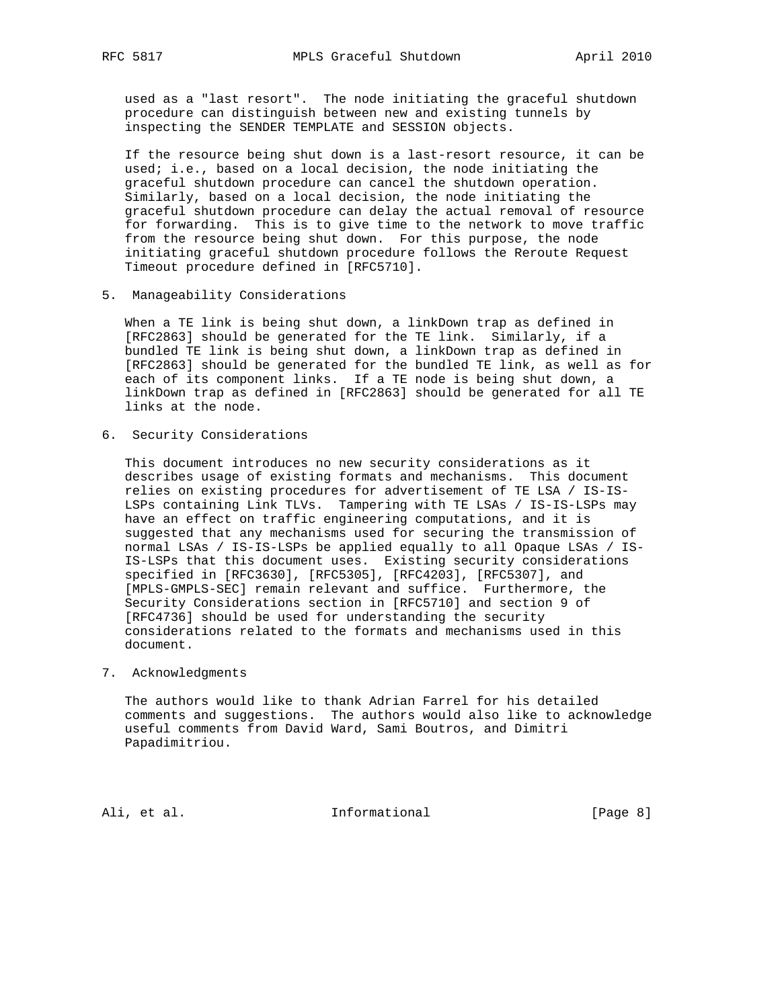used as a "last resort". The node initiating the graceful shutdown procedure can distinguish between new and existing tunnels by inspecting the SENDER TEMPLATE and SESSION objects.

 If the resource being shut down is a last-resort resource, it can be used; i.e., based on a local decision, the node initiating the graceful shutdown procedure can cancel the shutdown operation. Similarly, based on a local decision, the node initiating the graceful shutdown procedure can delay the actual removal of resource for forwarding. This is to give time to the network to move traffic from the resource being shut down. For this purpose, the node initiating graceful shutdown procedure follows the Reroute Request Timeout procedure defined in [RFC5710].

5. Manageability Considerations

 When a TE link is being shut down, a linkDown trap as defined in [RFC2863] should be generated for the TE link. Similarly, if a bundled TE link is being shut down, a linkDown trap as defined in [RFC2863] should be generated for the bundled TE link, as well as for each of its component links. If a TE node is being shut down, a linkDown trap as defined in [RFC2863] should be generated for all TE links at the node.

6. Security Considerations

 This document introduces no new security considerations as it describes usage of existing formats and mechanisms. This document relies on existing procedures for advertisement of TE LSA / IS-IS- LSPs containing Link TLVs. Tampering with TE LSAs / IS-IS-LSPs may have an effect on traffic engineering computations, and it is suggested that any mechanisms used for securing the transmission of normal LSAs / IS-IS-LSPs be applied equally to all Opaque LSAs / IS- IS-LSPs that this document uses. Existing security considerations specified in [RFC3630], [RFC5305], [RFC4203], [RFC5307], and [MPLS-GMPLS-SEC] remain relevant and suffice. Furthermore, the Security Considerations section in [RFC5710] and section 9 of [RFC4736] should be used for understanding the security considerations related to the formats and mechanisms used in this document.

## 7. Acknowledgments

 The authors would like to thank Adrian Farrel for his detailed comments and suggestions. The authors would also like to acknowledge useful comments from David Ward, Sami Boutros, and Dimitri Papadimitriou.

Ali, et al. 10 methormational 11 metal [Page 8]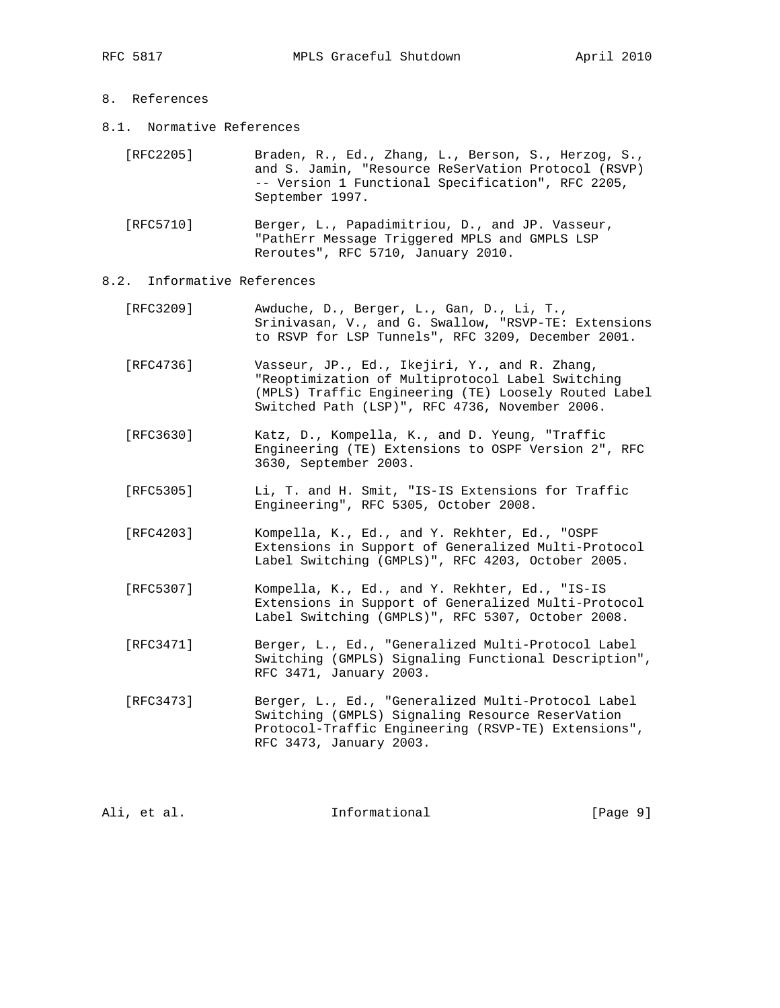- 8. References
- 8.1. Normative References

| [RFC2205] | Braden, R., Ed., Zhang, L., Berson, S., Herzog, S., |
|-----------|-----------------------------------------------------|
|           | and S. Jamin, "Resource ReSerVation Protocol (RSVP) |
|           | -- Version 1 Functional Specification", RFC 2205,   |
|           | September 1997.                                     |

 [RFC5710] Berger, L., Papadimitriou, D., and JP. Vasseur, "PathErr Message Triggered MPLS and GMPLS LSP Reroutes", RFC 5710, January 2010.

### 8.2. Informative References

- [RFC3209] Awduche, D., Berger, L., Gan, D., Li, T., Srinivasan, V., and G. Swallow, "RSVP-TE: Extensions to RSVP for LSP Tunnels", RFC 3209, December 2001.
- [RFC4736] Vasseur, JP., Ed., Ikejiri, Y., and R. Zhang, "Reoptimization of Multiprotocol Label Switching (MPLS) Traffic Engineering (TE) Loosely Routed Label Switched Path (LSP)", RFC 4736, November 2006.
- [RFC3630] Katz, D., Kompella, K., and D. Yeung, "Traffic Engineering (TE) Extensions to OSPF Version 2", RFC 3630, September 2003.
- [RFC5305] Li, T. and H. Smit, "IS-IS Extensions for Traffic Engineering", RFC 5305, October 2008.
- [RFC4203] Kompella, K., Ed., and Y. Rekhter, Ed., "OSPF Extensions in Support of Generalized Multi-Protocol Label Switching (GMPLS)", RFC 4203, October 2005.
- [RFC5307] Kompella, K., Ed., and Y. Rekhter, Ed., "IS-IS Extensions in Support of Generalized Multi-Protocol Label Switching (GMPLS)", RFC 5307, October 2008.
- [RFC3471] Berger, L., Ed., "Generalized Multi-Protocol Label Switching (GMPLS) Signaling Functional Description", RFC 3471, January 2003.
- [RFC3473] Berger, L., Ed., "Generalized Multi-Protocol Label Switching (GMPLS) Signaling Resource ReserVation Protocol-Traffic Engineering (RSVP-TE) Extensions", RFC 3473, January 2003.

Ali, et al. Informational [Page 9]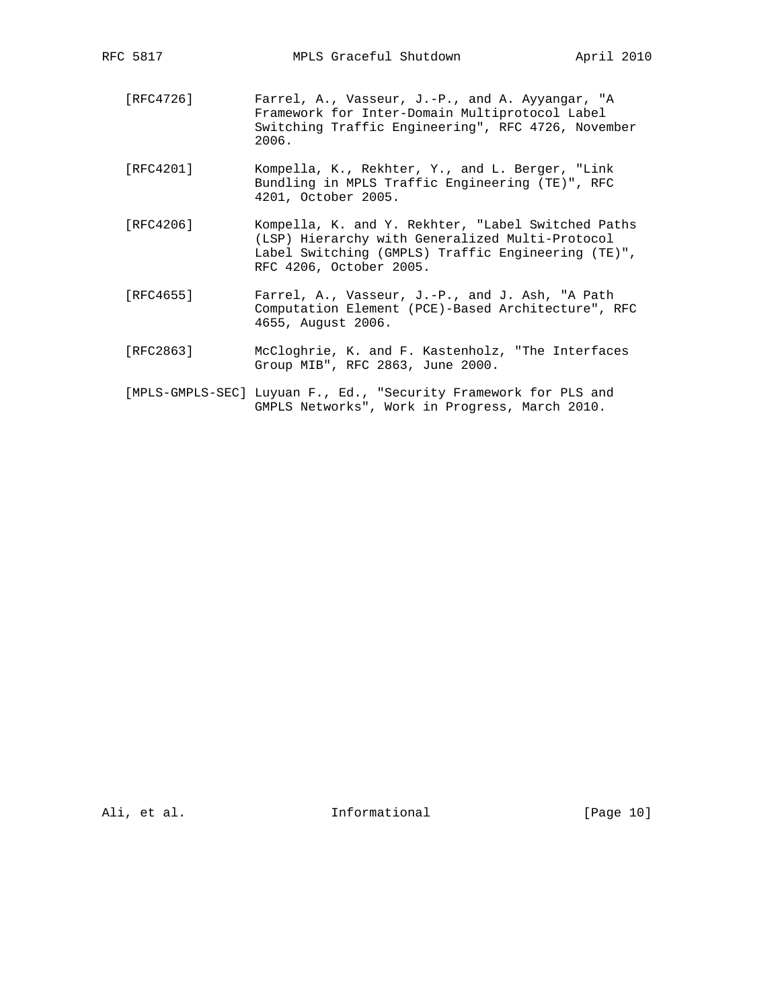- [RFC4726] Farrel, A., Vasseur, J.-P., and A. Ayyangar, "A Framework for Inter-Domain Multiprotocol Label Switching Traffic Engineering", RFC 4726, November 2006.
- [RFC4201] Kompella, K., Rekhter, Y., and L. Berger, "Link Bundling in MPLS Traffic Engineering (TE)", RFC 4201, October 2005.
- [RFC4206] Kompella, K. and Y. Rekhter, "Label Switched Paths (LSP) Hierarchy with Generalized Multi-Protocol Label Switching (GMPLS) Traffic Engineering (TE)", RFC 4206, October 2005.
- [RFC4655] Farrel, A., Vasseur, J.-P., and J. Ash, "A Path Computation Element (PCE)-Based Architecture", RFC 4655, August 2006.
- [RFC2863] McCloghrie, K. and F. Kastenholz, "The Interfaces Group MIB", RFC 2863, June 2000.
- [MPLS-GMPLS-SEC] Luyuan F., Ed., "Security Framework for PLS and GMPLS Networks", Work in Progress, March 2010.

Ali, et al. 10 methormational [Page 10]